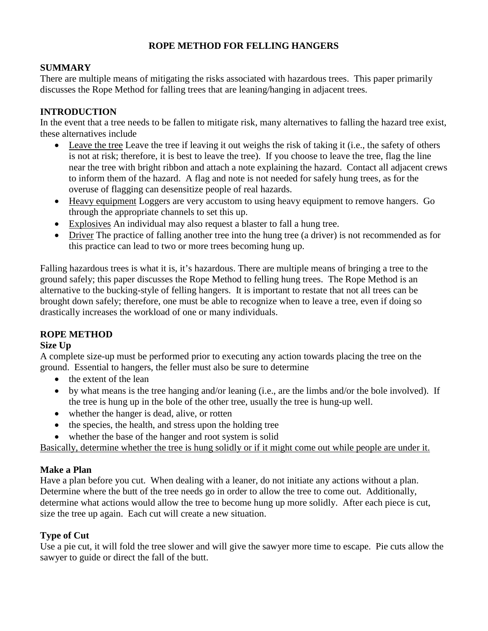# **ROPE METHOD FOR FELLING HANGERS**

### **SUMMARY**

There are multiple means of mitigating the risks associated with hazardous trees. This paper primarily discusses the Rope Method for falling trees that are leaning/hanging in adjacent trees.

## **INTRODUCTION**

In the event that a tree needs to be fallen to mitigate risk, many alternatives to falling the hazard tree exist, these alternatives include

- Leave the tree Leave the tree if leaving it out weighs the risk of taking it (i.e., the safety of others is not at risk; therefore, it is best to leave the tree). If you choose to leave the tree, flag the line near the tree with bright ribbon and attach a note explaining the hazard. Contact all adjacent crews to inform them of the hazard. A flag and note is not needed for safely hung trees, as for the overuse of flagging can desensitize people of real hazards.
- Heavy equipment Loggers are very accustom to using heavy equipment to remove hangers. Go through the appropriate channels to set this up.
- Explosives An individual may also request a blaster to fall a hung tree.
- Driver The practice of falling another tree into the hung tree (a driver) is not recommended as for this practice can lead to two or more trees becoming hung up.

Falling hazardous trees is what it is, it's hazardous. There are multiple means of bringing a tree to the ground safely; this paper discusses the Rope Method to felling hung trees. The Rope Method is an alternative to the bucking-style of felling hangers. It is important to restate that not all trees can be brought down safely; therefore, one must be able to recognize when to leave a tree, even if doing so drastically increases the workload of one or many individuals.

### **ROPE METHOD**

### **Size Up**

A complete size-up must be performed prior to executing any action towards placing the tree on the ground. Essential to hangers, the feller must also be sure to determine

- the extent of the lean
- by what means is the tree hanging and/or leaning (i.e., are the limbs and/or the bole involved). If the tree is hung up in the bole of the other tree, usually the tree is hung-up well.
- whether the hanger is dead, alive, or rotten
- the species, the health, and stress upon the holding tree
- whether the base of the hanger and root system is solid

Basically, determine whether the tree is hung solidly or if it might come out while people are under it.

### **Make a Plan**

Have a plan before you cut. When dealing with a leaner, do not initiate any actions without a plan. Determine where the butt of the tree needs go in order to allow the tree to come out. Additionally, determine what actions would allow the tree to become hung up more solidly. After each piece is cut, size the tree up again. Each cut will create a new situation.

# **Type of Cut**

Use a pie cut, it will fold the tree slower and will give the sawyer more time to escape. Pie cuts allow the sawyer to guide or direct the fall of the butt.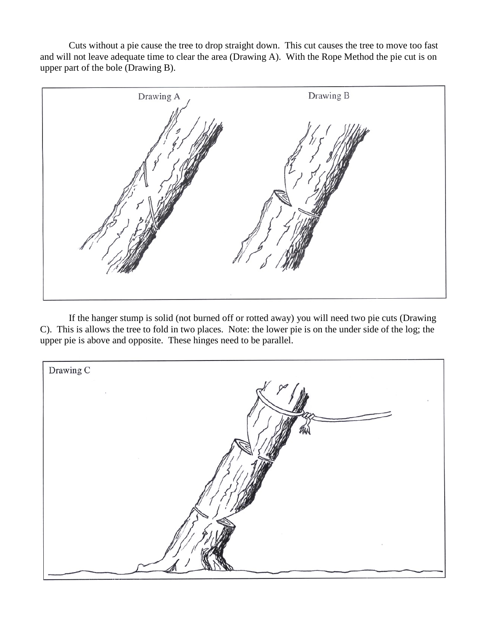Cuts without a pie cause the tree to drop straight down. This cut causes the tree to move too fast and will not leave adequate time to clear the area (Drawing A). With the Rope Method the pie cut is on upper part of the bole (Drawing B).



If the hanger stump is solid (not burned off or rotted away) you will need two pie cuts (Drawing C). This is allows the tree to fold in two places. Note: the lower pie is on the under side of the log; the upper pie is above and opposite. These hinges need to be parallel.